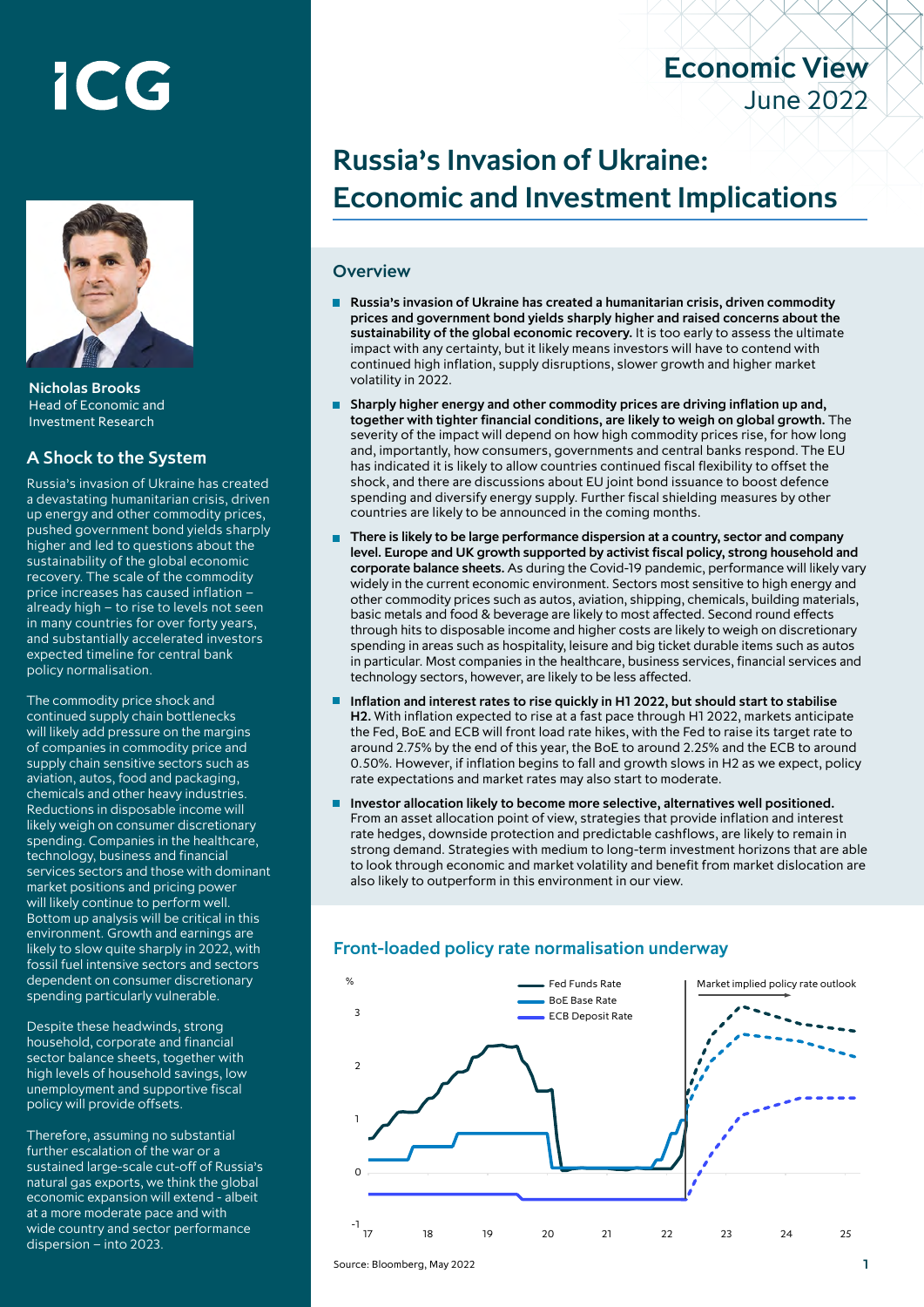# ICG



Nicholas Brooks Head of Economic and Investment Research

#### A Shock to the System

Russia's invasion of Ukraine has created a devastating humanitarian crisis, driven up energy and other commodity prices, pushed government bond yields sharply higher and led to questions about the sustainability of the global economic recovery. The scale of the commodity price increases has caused inflation – already high – to rise to levels not seen in many countries for over forty years, and substantially accelerated investors expected timeline for central bank policy normalisation.

The commodity price shock and continued supply chain bottlenecks will likely add pressure on the margins of companies in commodity price and supply chain sensitive sectors such as aviation, autos, food and packaging, chemicals and other heavy industries. Reductions in disposable income will likely weigh on consumer discretionary spending. Companies in the healthcare, technology, business and financial services sectors and those with dominant market positions and pricing power will likely continue to perform well. Bottom up analysis will be critical in this environment. Growth and earnings are likely to slow quite sharply in 2022, with fossil fuel intensive sectors and sectors dependent on consumer discretionary spending particularly vulnerable.

Despite these headwinds, strong household, corporate and financial sector balance sheets, together with high levels of household savings, low unemployment and supportive fiscal policy will provide offsets.

Therefore, assuming no substantial further escalation of the war or a sustained large-scale cut-off of Russia's natural gas exports, we think the global economic expansion will extend - albeit at a more moderate pace and with wide country and sector performance dispersion – into 2023.

# Russia's Invasion of Ukraine: Economic and Investment Implications

Economic View

June 2022

#### **Overview**

- Russia's invasion of Ukraine has created a humanitarian crisis, driven commodity prices and government bond yields sharply higher and raised concerns about the sustainability of the global economic recovery. It is too early to assess the ultimate impact with any certainty, but it likely means investors will have to contend with continued high inflation, supply disruptions, slower growth and higher market volatility in 2022.
- **Sharply higher energy and other commodity prices are driving inflation up and,** together with tighter financial conditions, are likely to weigh on global growth. The severity of the impact will depend on how high commodity prices rise, for how long and, importantly, how consumers, governments and central banks respond. The EU has indicated it is likely to allow countries continued fiscal flexibility to offset the shock, and there are discussions about EU joint bond issuance to boost defence spending and diversify energy supply. Further fiscal shielding measures by other countries are likely to be announced in the coming months.
- There is likely to be large performance dispersion at a country, sector and company level. Europe and UK growth supported by activist fiscal policy, strong household and corporate balance sheets. As during the Covid-19 pandemic, performance will likely vary widely in the current economic environment. Sectors most sensitive to high energy and other commodity prices such as autos, aviation, shipping, chemicals, building materials, basic metals and food & beverage are likely to most affected. Second round effects through hits to disposable income and higher costs are likely to weigh on discretionary spending in areas such as hospitality, leisure and big ticket durable items such as autos in particular. Most companies in the healthcare, business services, financial services and technology sectors, however, are likely to be less affected.
- Inflation and interest rates to rise quickly in H1 2022, but should start to stabilise H2. With inflation expected to rise at a fast pace through H1 2022, markets anticipate the Fed, BoE and ECB will front load rate hikes, with the Fed to raise its target rate to around 2.75% by the end of this year, the BoE to around 2.25% and the ECB to around 0.50%. However, if inflation begins to fall and growth slows in H2 as we expect, policy rate expectations and market rates may also start to moderate.
- Investor allocation likely to become more selective, alternatives well positioned. From an asset allocation point of view, strategies that provide inflation and interest rate hedges, downside protection and predictable cashflows, are likely to remain in strong demand. Strategies with medium to long-term investment horizons that are able to look through economic and market volatility and benefit from market dislocation are also likely to outperform in this environment in our view.

## Front-loaded policy rate normalisation underway

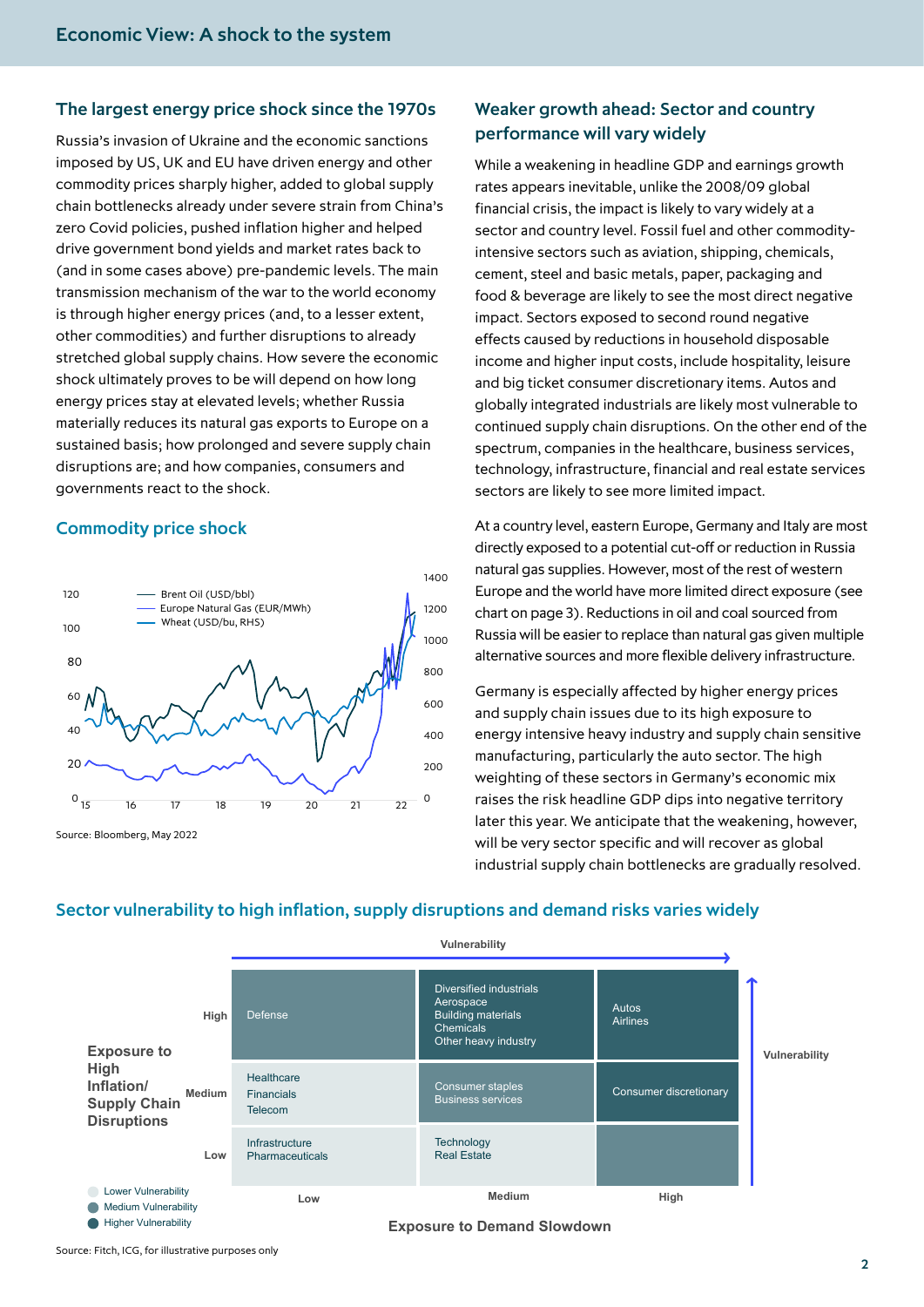#### The largest energy price shock since the 1970s

Russia's invasion of Ukraine and the economic sanctions imposed by US, UK and EU have driven energy and other commodity prices sharply higher, added to global supply chain bottlenecks already under severe strain from China's zero Covid policies, pushed inflation higher and helped drive government bond yields and market rates back to (and in some cases above) pre-pandemic levels. The main transmission mechanism of the war to the world economy is through higher energy prices (and, to a lesser extent, other commodities) and further disruptions to already stretched global supply chains. How severe the economic shock ultimately proves to be will depend on how long energy prices stay at elevated levels; whether Russia materially reduces its natural gas exports to Europe on a sustained basis; how prolonged and severe supply chain disruptions are; and how companies, consumers and governments react to the shock.

#### Commodity price shock



## Weaker growth ahead: Sector and country performance will vary widely

While a weakening in headline GDP and earnings growth rates appears inevitable, unlike the 2008/09 global financial crisis, the impact is likely to vary widely at a sector and country level. Fossil fuel and other commodityintensive sectors such as aviation, shipping, chemicals, cement, steel and basic metals, paper, packaging and food & beverage are likely to see the most direct negative impact. Sectors exposed to second round negative effects caused by reductions in household disposable income and higher input costs, include hospitality, leisure and big ticket consumer discretionary items. Autos and globally integrated industrials are likely most vulnerable to continued supply chain disruptions. On the other end of the spectrum, companies in the healthcare, business services, technology, infrastructure, financial and real estate services sectors are likely to see more limited impact.

At a country level, eastern Europe, Germany and Italy are most directly exposed to a potential cut-off or reduction in Russia natural gas supplies. However, most of the rest of western Europe and the world have more limited direct exposure (see chart on page 3). Reductions in oil and coal sourced from Russia will be easier to replace than natural gas given multiple alternative sources and more flexible delivery infrastructure.

Germany is especially affected by higher energy prices and supply chain issues due to its high exposure to energy intensive heavy industry and supply chain sensitive manufacturing, particularly the auto sector. The high weighting of these sectors in Germany's economic mix raises the risk headline GDP dips into negative territory later this year. We anticipate that the weakening, however, will be very sector specific and will recover as global industrial supply chain bottlenecks are gradually resolved.



#### Sector vulnerability to high inflation, supply disruptions and demand risks varies widely

Source: Fitch, ICG, for illustrative purposes only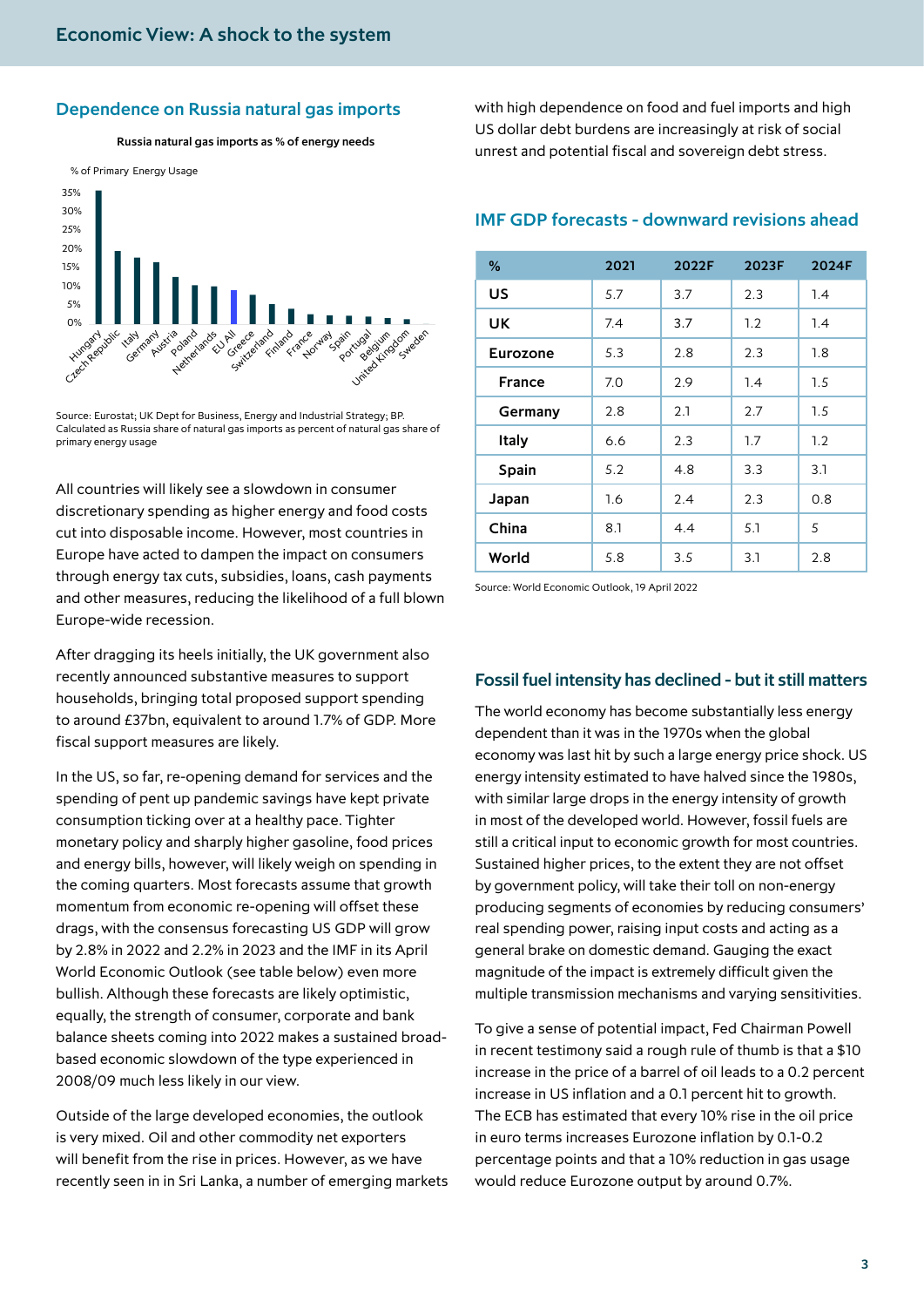#### Dependence on Russia natural gas imports

Russia natural gas imports as % of energy needs



Source: Eurostat; UK Dept for Business, Energy and Industrial Strategy; BP. Calculated as Russia share of natural gas imports as percent of natural gas share of primary energy usage

All countries will likely see a slowdown in consumer discretionary spending as higher energy and food costs cut into disposable income. However, most countries in Europe have acted to dampen the impact on consumers through energy tax cuts, subsidies, loans, cash payments and other measures, reducing the likelihood of a full blown Europe-wide recession.

After dragging its heels initially, the UK government also recently announced substantive measures to support households, bringing total proposed support spending to around £37bn, equivalent to around 1.7% of GDP. More fiscal support measures are likely.

In the US, so far, re-opening demand for services and the spending of pent up pandemic savings have kept private consumption ticking over at a healthy pace. Tighter monetary policy and sharply higher gasoline, food prices and energy bills, however, will likely weigh on spending in the coming quarters. Most forecasts assume that growth momentum from economic re-opening will offset these drags, with the consensus forecasting US GDP will grow by 2.8% in 2022 and 2.2% in 2023 and the IMF in its April World Economic Outlook (see table below) even more bullish. Although these forecasts are likely optimistic, equally, the strength of consumer, corporate and bank balance sheets coming into 2022 makes a sustained broadbased economic slowdown of the type experienced in 2008/09 much less likely in our view.

Outside of the large developed economies, the outlook is very mixed. Oil and other commodity net exporters will benefit from the rise in prices. However, as we have recently seen in in Sri Lanka, a number of emerging markets with high dependence on food and fuel imports and high US dollar debt burdens are increasingly at risk of social unrest and potential fiscal and sovereign debt stress.

### IMF GDP forecasts - downward revisions ahead

| %         | 2021 | 2022F | 2023F | 2024F |
|-----------|------|-------|-------|-------|
| US        | 5.7  | 3.7   | 2.3   | 1.4   |
| <b>UK</b> | 7.4  | 3.7   | 1.2   | 1.4   |
| Eurozone  | 5.3  | 2.8   | 2.3   | 1.8   |
| France    | 7.0  | 2.9   | 1.4   | 1.5   |
| Germany   | 2.8  | 2.1   | 2.7   | 1.5   |
| Italy     | 6.6  | 2.3   | 1.7   | 1.2   |
| Spain     | 5.2  | 4.8   | 3.3   | 3.1   |
| Japan     | 1.6  | 2.4   | 2.3   | 0.8   |
| China     | 8.1  | 4.4   | 5.1   | 5     |
| World     | 5.8  | 3.5   | 3.1   | 2.8   |

Source: World Economic Outlook, 19 April 2022

#### Fossil fuel intensity has declined - but it still matters

The world economy has become substantially less energy dependent than it was in the 1970s when the global economy was last hit by such a large energy price shock. US energy intensity estimated to have halved since the 1980s, with similar large drops in the energy intensity of growth in most of the developed world. However, fossil fuels are still a critical input to economic growth for most countries. Sustained higher prices, to the extent they are not offset by government policy, will take their toll on non-energy producing segments of economies by reducing consumers' real spending power, raising input costs and acting as a general brake on domestic demand. Gauging the exact magnitude of the impact is extremely difficult given the multiple transmission mechanisms and varying sensitivities.

To give a sense of potential impact, Fed Chairman Powell in recent testimony said a rough rule of thumb is that a \$10 increase in the price of a barrel of oil leads to a 0.2 percent increase in US inflation and a 0.1 percent hit to growth. The ECB has estimated that every 10% rise in the oil price in euro terms increases Eurozone inflation by 0.1-0.2 percentage points and that a 10% reduction in gas usage would reduce Eurozone output by around 0.7%.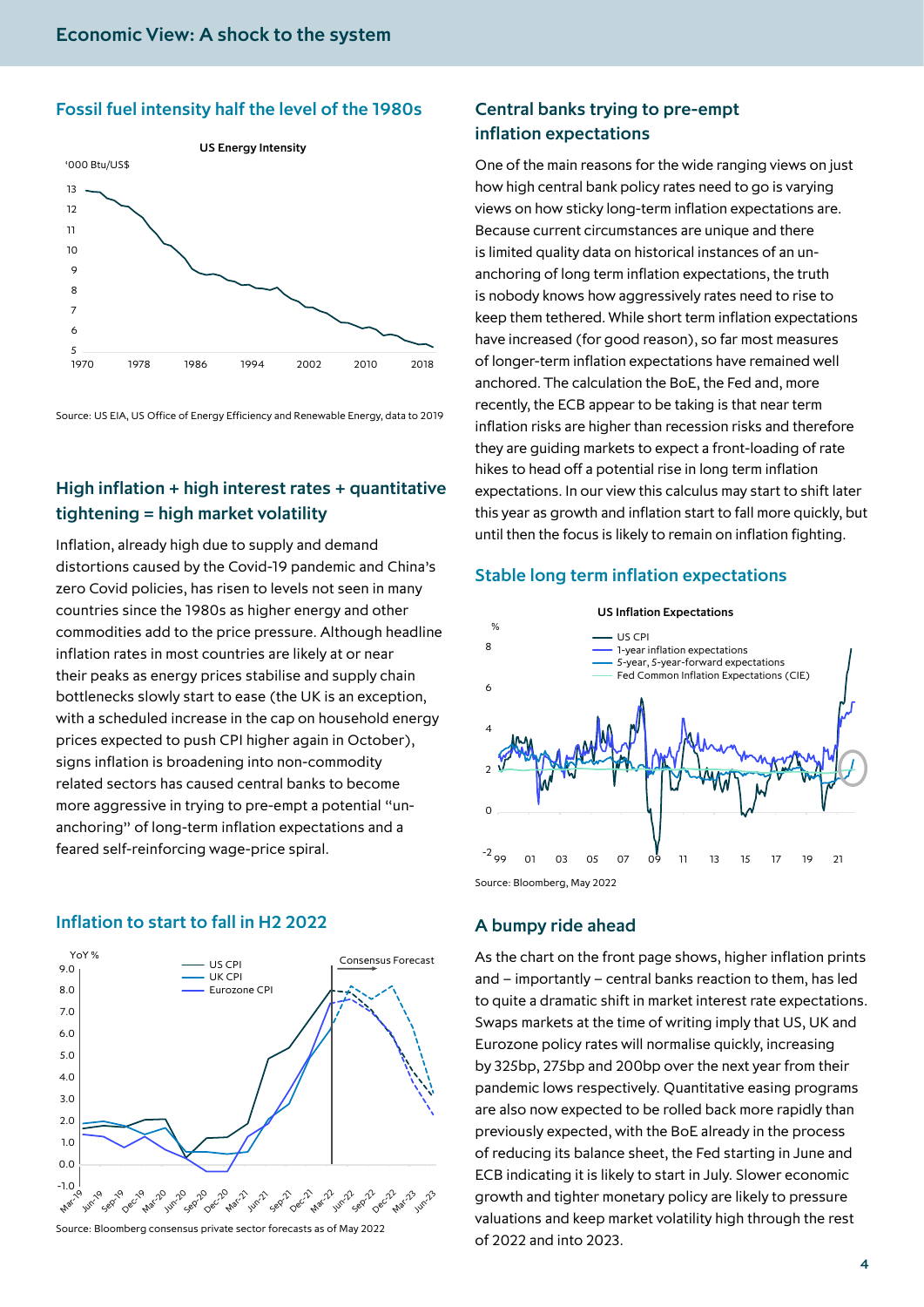#### Fossil fuel intensity half the level of the 1980s



Source: US EIA, US Office of Energy Efficiency and Renewable Energy, data to 2019

## High inflation + high interest rates + quantitative tightening = high market volatility

Inflation, already high due to supply and demand distortions caused by the Covid-19 pandemic and China's zero Covid policies, has risen to levels not seen in many countries since the 1980s as higher energy and other commodities add to the price pressure. Although headline inflation rates in most countries are likely at or near their peaks as energy prices stabilise and supply chain bottlenecks slowly start to ease (the UK is an exception, with a scheduled increase in the cap on household energy prices expected to push CPI higher again in October), signs inflation is broadening into non-commodity related sectors has caused central banks to become more aggressive in trying to pre-empt a potential "unanchoring" of long-term inflation expectations and a feared self-reinforcing wage-price spiral.

#### Inflation to start to fall in H2 2022



Source: Bloomberg consensus private sector forecasts as of May 2022

## Central banks trying to pre-empt inflation expectations

One of the main reasons for the wide ranging views on just how high central bank policy rates need to go is varying views on how sticky long-term inflation expectations are. Because current circumstances are unique and there is limited quality data on historical instances of an unanchoring of long term inflation expectations, the truth is nobody knows how aggressively rates need to rise to keep them tethered. While short term inflation expectations have increased (for good reason), so far most measures of longer-term inflation expectations have remained well anchored. The calculation the BoE, the Fed and, more recently, the ECB appear to be taking is that near term inflation risks are higher than recession risks and therefore they are guiding markets to expect a front-loading of rate hikes to head off a potential rise in long term inflation expectations. In our view this calculus may start to shift later this year as growth and inflation start to fall more quickly, but until then the focus is likely to remain on inflation fighting.

#### Stable long term inflation expectations



#### A bumpy ride ahead

As the chart on the front page shows, higher inflation prints and – importantly – central banks reaction to them, has led to quite a dramatic shift in market interest rate expectations. Swaps markets at the time of writing imply that US, UK and Eurozone policy rates will normalise quickly, increasing by 325bp, 275bp and 200bp over the next year from their pandemic lows respectively. Quantitative easing programs are also now expected to be rolled back more rapidly than previously expected, with the BoE already in the process of reducing its balance sheet, the Fed starting in June and ECB indicating it is likely to start in July. Slower economic growth and tighter monetary policy are likely to pressure valuations and keep market volatility high through the rest of 2022 and into 2023.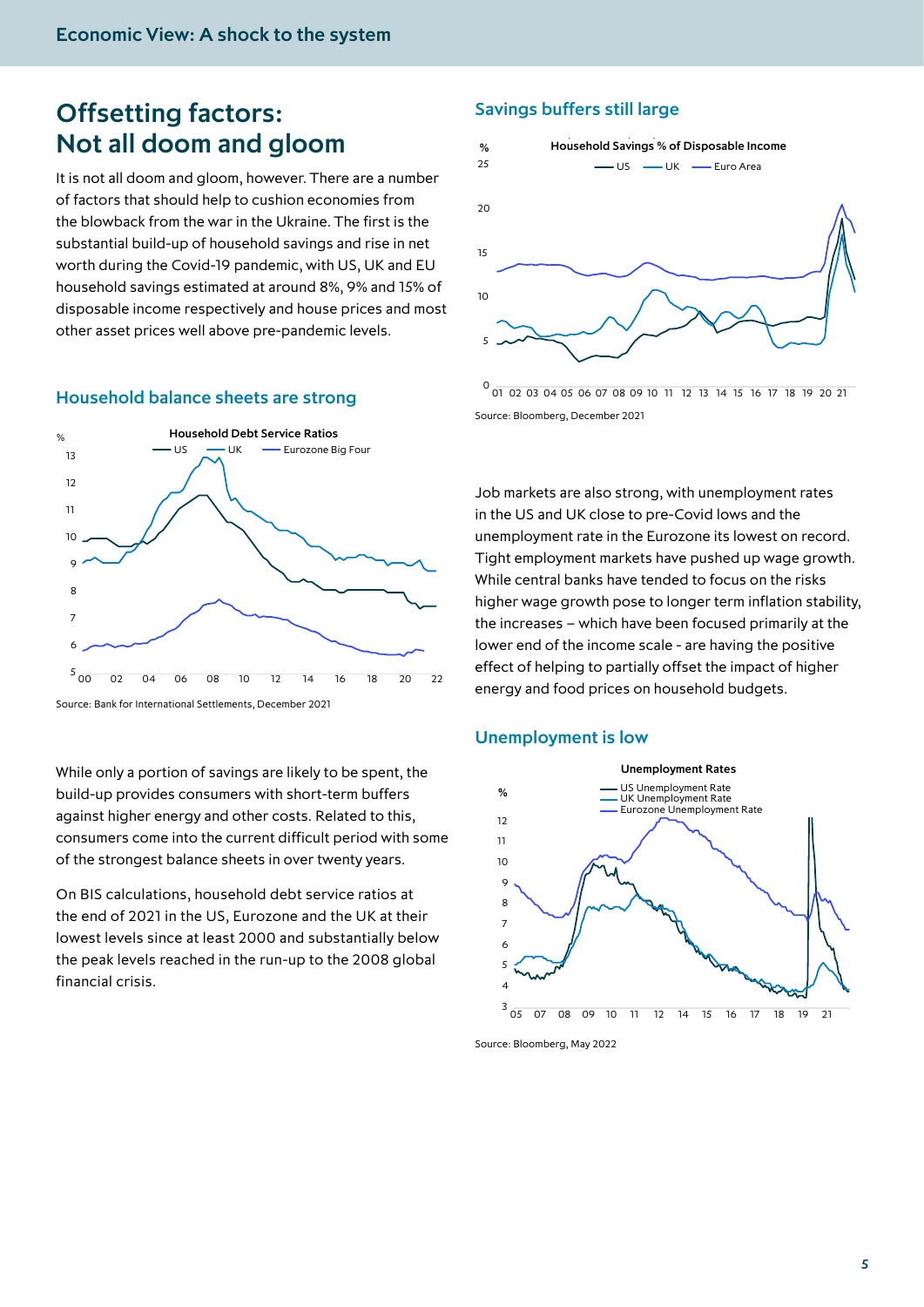# Offsetting factors: Not all doom and gloom

It is not all doom and gloom, however. There are a number of factors that should help to cushion economies from the blowback from the war in the Ukraine. The first is the substantial build-up of household savings and rise in net worth during the Covid-19 pandemic, with US, UK and EU household savings estimated at around 8%, 9% and 15% of disposable income respectively and house prices and most other asset prices well above pre-pandemic levels.

#### Household balance sheets are strong



Source: Bank for International Settlements, December 2021

While only a portion of savings are likely to be spent, the build-up provides consumers with short-term buffers against higher energy and other costs. Related to this, consumers come into the current difficult period with some of the strongest balance sheets in over twenty years.

On BIS calculations, household debt service ratios at the end of 2021 in the US, Eurozone and the UK at their lowest levels since at least 2000 and substantially below the peak levels reached in the run-up to the 2008 global financial crisis.

# Savings buffers still large



0 01 02 03 04 05 06 07 08 09 10 11 12 13 14 15 16 17 18 19 20 21 Source: Bloomberg, December 2021

Job markets are also strong, with unemployment rates in the US and UK close to pre-Covid lows and the unemployment rate in the Eurozone its lowest on record. Tight employment markets have pushed up wage growth. While central banks have tended to focus on the risks higher wage growth pose to longer term inflation stability, the increases – which have been focused primarily at the lower end of the income scale - are having the positive effect of helping to partially offset the impact of higher energy and food prices on household budgets.

#### Unemployment is low



Source: Bloomberg, May 2022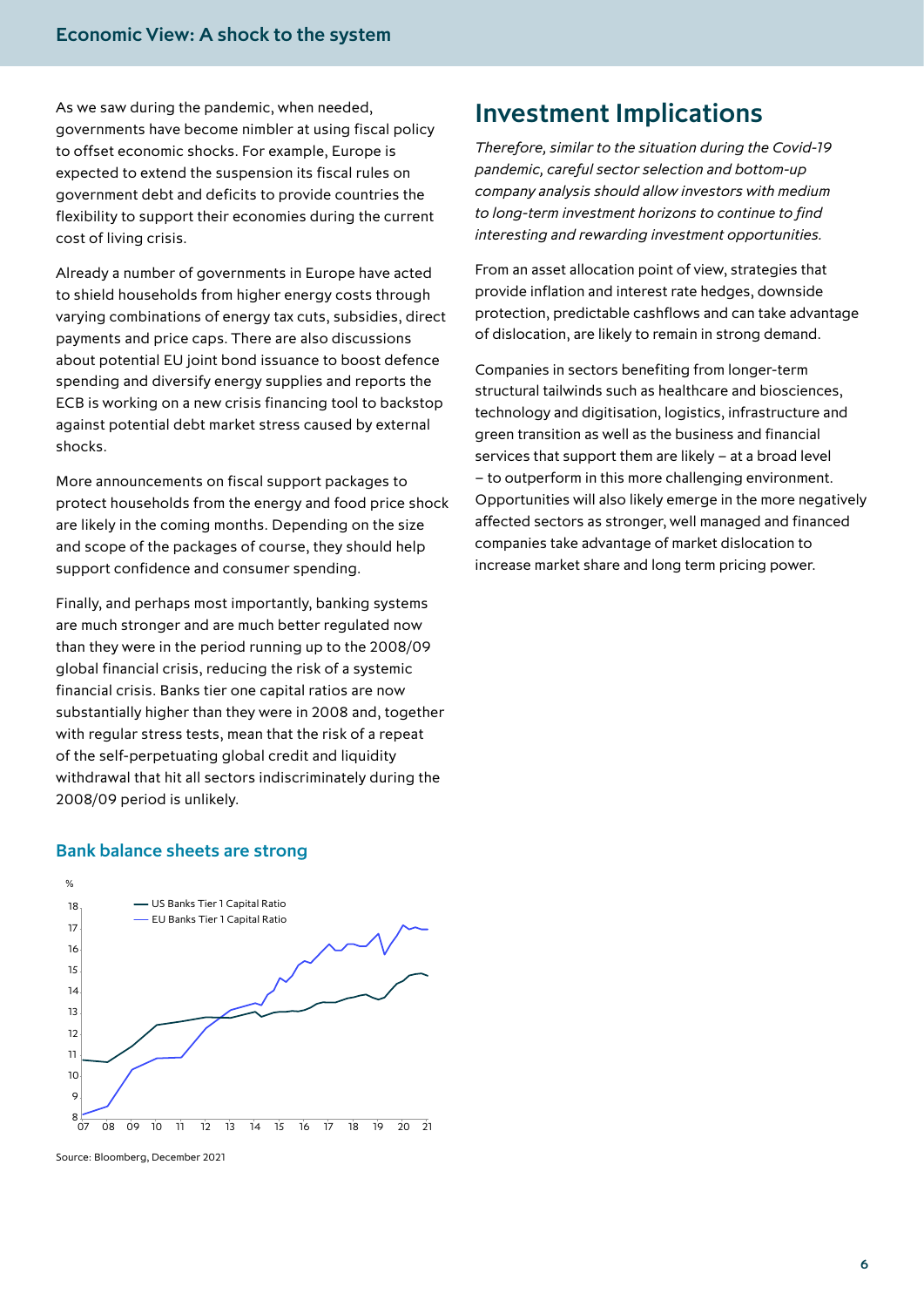As we saw during the pandemic, when needed, governments have become nimbler at using fiscal policy to offset economic shocks. For example, Europe is expected to extend the suspension its fiscal rules on government debt and deficits to provide countries the flexibility to support their economies during the current cost of living crisis.

Already a number of governments in Europe have acted to shield households from higher energy costs through varying combinations of energy tax cuts, subsidies, direct payments and price caps. There are also discussions about potential EU joint bond issuance to boost defence spending and diversify energy supplies and reports the ECB is working on a new crisis financing tool to backstop against potential debt market stress caused by external shocks.

More announcements on fiscal support packages to protect households from the energy and food price shock are likely in the coming months. Depending on the size and scope of the packages of course, they should help support confidence and consumer spending.

Finally, and perhaps most importantly, banking systems are much stronger and are much better regulated now than they were in the period running up to the 2008/09 global financial crisis, reducing the risk of a systemic financial crisis. Banks tier one capital ratios are now substantially higher than they were in 2008 and, together with regular stress tests, mean that the risk of a repeat of the self-perpetuating global credit and liquidity withdrawal that hit all sectors indiscriminately during the 2008/09 period is unlikely.

#### Bank balance sheets are strong



Source: Bloomberg, December 2021

# Investment Implications

*Therefore, similar to the situation during the Covid-19 pandemic, careful sector selection and bottom-up company analysis should allow investors with medium to long-term investment horizons to continue to find interesting and rewarding investment opportunities.* 

From an asset allocation point of view, strategies that provide inflation and interest rate hedges, downside protection, predictable cashflows and can take advantage of dislocation, are likely to remain in strong demand.

Companies in sectors benefiting from longer-term structural tailwinds such as healthcare and biosciences, technology and digitisation, logistics, infrastructure and green transition as well as the business and financial services that support them are likely – at a broad level – to outperform in this more challenging environment. Opportunities will also likely emerge in the more negatively affected sectors as stronger, well managed and financed companies take advantage of market dislocation to increase market share and long term pricing power.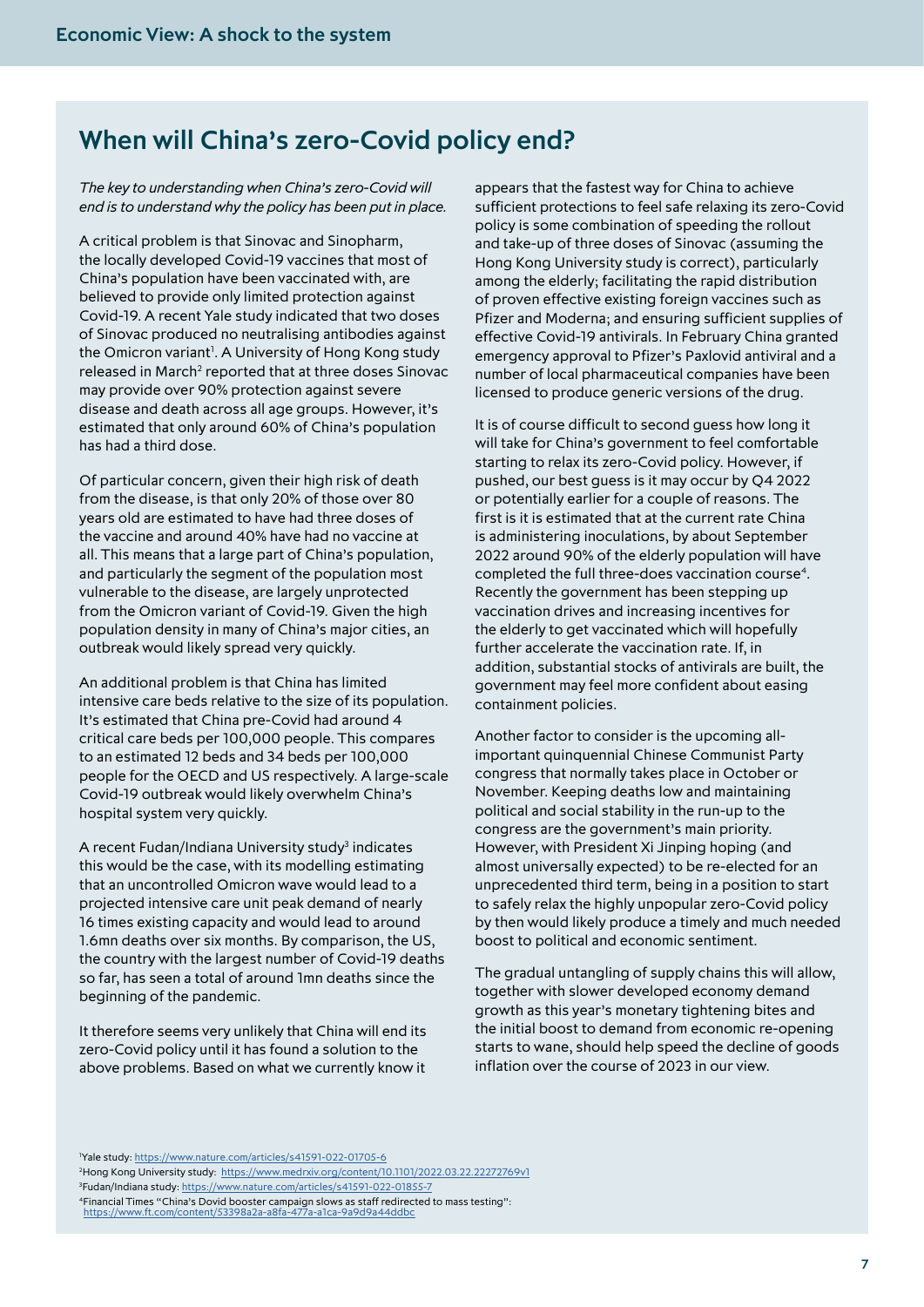# When will China's zero-Covid policy end?

*The key to understanding when China's zero-Covid will end is to understand why the policy has been put in place.* 

A critical problem is that Sinovac and Sinopharm, the locally developed Covid-19 vaccines that most of China's population have been vaccinated with, are believed to provide only limited protection against Covid-19. A recent Yale study indicated that two doses of Sinovac produced no neutralising antibodies against the Omicron variant<sup>1</sup>. A University of Hong Kong study released in March<sup>2</sup> reported that at three doses Sinovac may provide over 90% protection against severe disease and death across all age groups. However, it's estimated that only around 60% of China's population has had a third dose.

Of particular concern, given their high risk of death from the disease, is that only 20% of those over 80 years old are estimated to have had three doses of the vaccine and around 40% have had no vaccine at all. This means that a large part of China's population, and particularly the segment of the population most vulnerable to the disease, are largely unprotected from the Omicron variant of Covid-19. Given the high population density in many of China's major cities, an outbreak would likely spread very quickly.

An additional problem is that China has limited intensive care beds relative to the size of its population. It's estimated that China pre-Covid had around 4 critical care beds per 100,000 people. This compares to an estimated 12 beds and 34 beds per 100,000 people for the OECD and US respectively. A large-scale Covid-19 outbreak would likely overwhelm China's hospital system very quickly.

A recent Fudan/Indiana University study<sup>3</sup> indicates this would be the case, with its modelling estimating that an uncontrolled Omicron wave would lead to a projected intensive care unit peak demand of nearly 16 times existing capacity and would lead to around 1.6mn deaths over six months. By comparison, the US, the country with the largest number of Covid-19 deaths so far, has seen a total of around 1mn deaths since the beginning of the pandemic.

It therefore seems very unlikely that China will end its zero-Covid policy until it has found a solution to the above problems. Based on what we currently know it appears that the fastest way for China to achieve sufficient protections to feel safe relaxing its zero-Covid policy is some combination of speeding the rollout and take-up of three doses of Sinovac (assuming the Hong Kong University study is correct), particularly among the elderly; facilitating the rapid distribution of proven effective existing foreign vaccines such as Pfizer and Moderna; and ensuring sufficient supplies of effective Covid-19 antivirals. In February China granted emergency approval to Pfizer's Paxlovid antiviral and a number of local pharmaceutical companies have been licensed to produce generic versions of the drug.

It is of course difficult to second guess how long it will take for China's government to feel comfortable starting to relax its zero-Covid policy. However, if pushed, our best guess is it may occur by Q4 2022 or potentially earlier for a couple of reasons. The first is it is estimated that at the current rate China is administering inoculations, by about September 2022 around 90% of the elderly population will have completed the full three-does vaccination course<sup>4</sup>. Recently the government has been stepping up vaccination drives and increasing incentives for the elderly to get vaccinated which will hopefully further accelerate the vaccination rate. If, in addition, substantial stocks of antivirals are built, the government may feel more confident about easing containment policies.

Another factor to consider is the upcoming allimportant quinquennial Chinese Communist Party congress that normally takes place in October or November. Keeping deaths low and maintaining political and social stability in the run-up to the congress are the government's main priority. However, with President Xi Jinping hoping (and almost universally expected) to be re-elected for an unprecedented third term, being in a position to start to safely relax the highly unpopular zero-Covid policy by then would likely produce a timely and much needed boost to political and economic sentiment.

The gradual untangling of supply chains this will allow, together with slower developed economy demand growth as this year's monetary tightening bites and the initial boost to demand from economic re-opening starts to wane, should help speed the decline of goods inflation over the course of 2023 in our view.

1 Yale study: <https://www.nature.com/articles/s41591-022-01705-6> 2 Hong Kong University study: <https://www.medrxiv.org/content/10.1101/2022.03.22.22272769v1> 3 Fudan/Indiana study:<https://www.nature.com/articles/s41591-022-01855-7> 4Financial Times "China's Dovid booster campaign slows as staff redirected to mass testing": https://www.ft.com/content/53398a2a-a8fa-477a-a1ca-9a9d9a44ddb